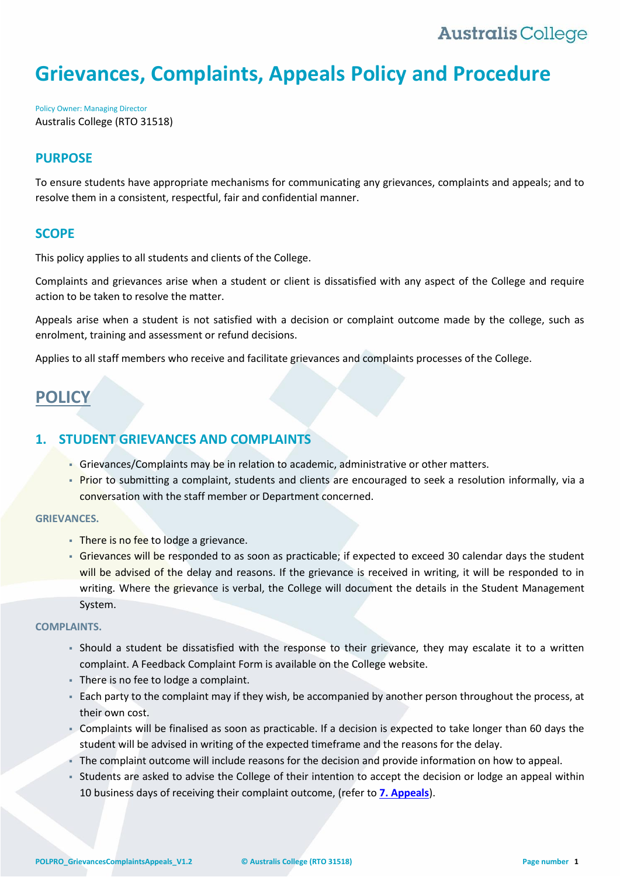# **Grievances, Complaints, Appeals Policy and Procedure**

Policy Owner: Managing Director Australis College (RTO 31518)

## **PURPOSE**

To ensure students have appropriate mechanisms for communicating any grievances, complaints and appeals; and to resolve them in a consistent, respectful, fair and confidential manner.

## **SCOPE**

This policy applies to all students and clients of the College.

Complaints and grievances arise when a student or client is dissatisfied with any aspect of the College and require action to be taken to resolve the matter.

Appeals arise when a student is not satisfied with a decision or complaint outcome made by the college, such as enrolment, training and assessment or refund decisions.

Applies to all staff members who receive and facilitate grievances and complaints processes of the College.

# **POLICY**

## **1. STUDENT GRIEVANCES AND COMPLAINTS**

- Grievances/Complaints may be in relation to academic, administrative or other matters.
- Prior to submitting a complaint, students and clients are encouraged to seek a resolution informally, via a conversation with the staff member or Department concerned.

#### **GRIEVANCES.**

- There is no fee to lodge a grievance.
- Grievances will be responded to as soon as practicable; if expected to exceed 30 calendar days the student will be advised of the delay and reasons. If the grievance is received in writing, it will be responded to in writing. Where the grievance is verbal, the College will document the details in the Student Management System.

#### **COMPLAINTS.**

- Should a student be dissatisfied with the response to their grievance, they may escalate it to a written complaint. A Feedback Complaint Form is available on the College website.
- There is no fee to lodge a complaint.
- Each party to the complaint may if they wish, be accompanied by another person throughout the process, at their own cost.
- Complaints will be finalised as soon as practicable. If a decision is expected to take longer than 60 days the student will be advised in writing of the expected timeframe and the reasons for the delay.
- The complaint outcome will include reasons for the decision and provide information on how to appeal.
- Students are asked to advise the College of their intention to accept the decision or lodge an appeal within 10 business days of receiving their complaint outcome, (refer to **[7. Appeals](#page-2-0)**).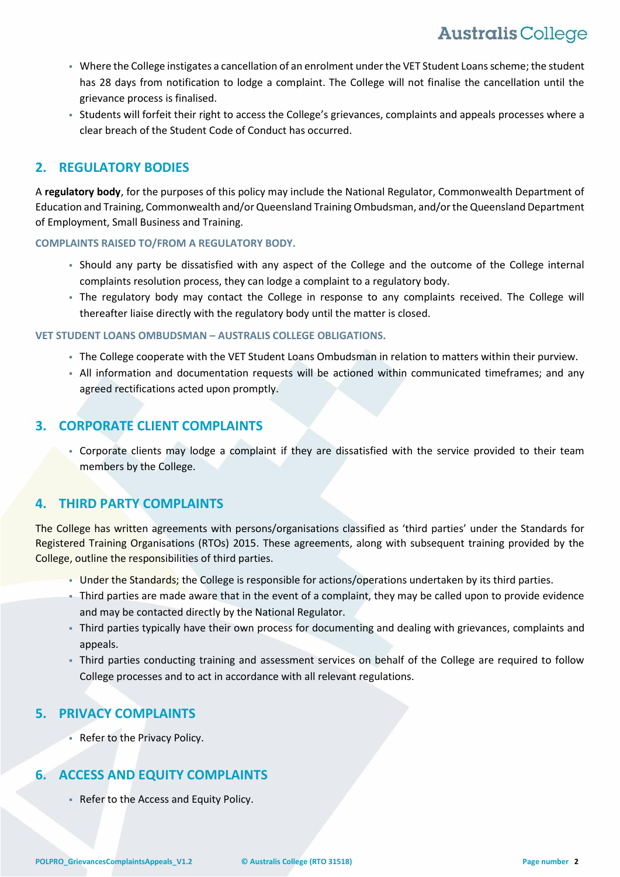- Where the College instigates a cancellation of an enrolment under the VET Student Loans scheme; the student has 28 days from notification to lodge a complaint. The College will not finalise the cancellation until the grievance process is finalised.
- Students will forfeit their right to access the College's grievances, complaints and appeals processes where a clear breach of the Student Code of Conduct has occurred.

# **2. REGULATORY BODIES**

A **regulatory body**, for the purposes of this policy may include the National Regulator, Commonwealth Department of Education and Training, Commonwealth and/or Queensland Training Ombudsman, and/or the Queensland Department of Employment, Small Business and Training.

### **COMPLAINTS RAISED TO/FROM A REGULATORY BODY.**

- Should any party be dissatisfied with any aspect of the College and the outcome of the College internal complaints resolution process, they can lodge a complaint to a regulatory body.
- The regulatory body may contact the College in response to any complaints received. The College will thereafter liaise directly with the regulatory body until the matter is closed.

### **VET STUDENT LOANS OMBUDSMAN – AUSTRALIS COLLEGE OBLIGATIONS.**

- The College cooperate with the VET Student Loans Ombudsman in relation to matters within their purview.
- All information and documentation requests will be actioned within communicated timeframes; and any agreed rectifications acted upon promptly.

## **3. CORPORATE CLIENT COMPLAINTS**

 Corporate clients may lodge a complaint if they are dissatisfied with the service provided to their team members by the College.

## **4. THIRD PARTY COMPLAINTS**

The College has written agreements with persons/organisations classified as 'third parties' under the Standards for Registered Training Organisations (RTOs) 2015. These agreements, along with subsequent training provided by the College, outline the responsibilities of third parties.

- Under the Standards; the College is responsible for actions/operations undertaken by its third parties.
- Third parties are made aware that in the event of a complaint, they may be called upon to provide evidence and may be contacted directly by the National Regulator.
- Third parties typically have their own process for documenting and dealing with grievances, complaints and appeals.
- Third parties conducting training and assessment services on behalf of the College are required to follow College processes and to act in accordance with all relevant regulations.

# **5. PRIVACY COMPLAINTS**

Refer to the Privacy Policy.

# **6. ACCESS AND EQUITY COMPLAINTS**

Refer to the Access and Equity Policy.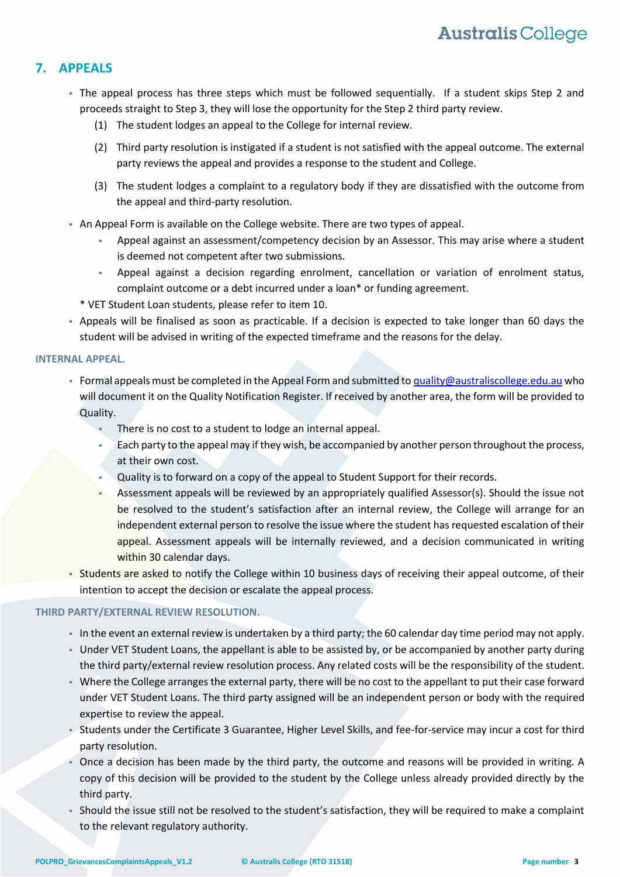# <span id="page-2-0"></span>**7. APPEALS**

- The appeal process has three steps which must be followed sequentially. If a student skips Step 2 and proceeds straight to Step 3, they will lose the opportunity for the Step 2 third party review.
	- (1) The student lodges an appeal to the College for internal review.
	- (2) Third party resolution is instigated if a student is not satisfied with the appeal outcome. The external party reviews the appeal and provides a response to the student and College.
	- (3) The student lodges a complaint to a regulatory body if they are dissatisfied with the outcome from the appeal and third-party resolution.
- An Appeal Form is available on the College website. There are two types of appeal.
	- Appeal against an assessment/competency decision by an Assessor. This may arise where a student is deemed not competent after two submissions.
	- Appeal against a decision regarding enrolment, cancellation or variation of enrolment status, complaint outcome or a debt incurred under a loan\* or funding agreement.
	- \* VET Student Loan students, please refer to item 10.
- Appeals will be finalised as soon as practicable. If a decision is expected to take longer than 60 days the student will be advised in writing of the expected timeframe and the reasons for the delay.

### **INTERNAL APPEAL.**

- Formal appeals must be completed in the Appeal Form and submitted t[o quality@australiscollege.edu.au](mailto:quality@australiscollege.edu.au) who will document it on the Quality Notification Register. If received by another area, the form will be provided to Quality.
	- There is no cost to a student to lodge an internal appeal.
	- Each party to the appeal may if they wish, be accompanied by another person throughout the process, at their own cost.
	- Quality is to forward on a copy of the appeal to Student Support for their records.
	- Assessment appeals will be reviewed by an appropriately qualified Assessor(s). Should the issue not be resolved to the student's satisfaction after an internal review, the College will arrange for an independent external person to resolve the issue where the student has requested escalation of their appeal. Assessment appeals will be internally reviewed, and a decision communicated in writing within 30 calendar days.
- **Students are asked to notify the College within 10 business days of receiving their appeal outcome, of their** intention to accept the decision or escalate the appeal process.

## **THIRD PARTY/EXTERNAL REVIEW RESOLUTION.**

- In the event an external review is undertaken by a third party; the 60 calendar day time period may not apply.
- Under VET Student Loans, the appellant is able to be assisted by, or be accompanied by another party during the third party/external review resolution process. Any related costs will be the responsibility of the student.
- Where the College arranges the external party, there will be no cost to the appellant to put their case forward under VET Student Loans. The third party assigned will be an independent person or body with the required expertise to review the appeal.
- Students under the Certificate 3 Guarantee, Higher Level Skills, and fee-for-service may incur a cost for third party resolution.
- Once a decision has been made by the third party, the outcome and reasons will be provided in writing. A copy of this decision will be provided to the student by the College unless already provided directly by the third party.
- Should the issue still not be resolved to the student's satisfaction, they will be required to make a complaint to the relevant regulatory authority.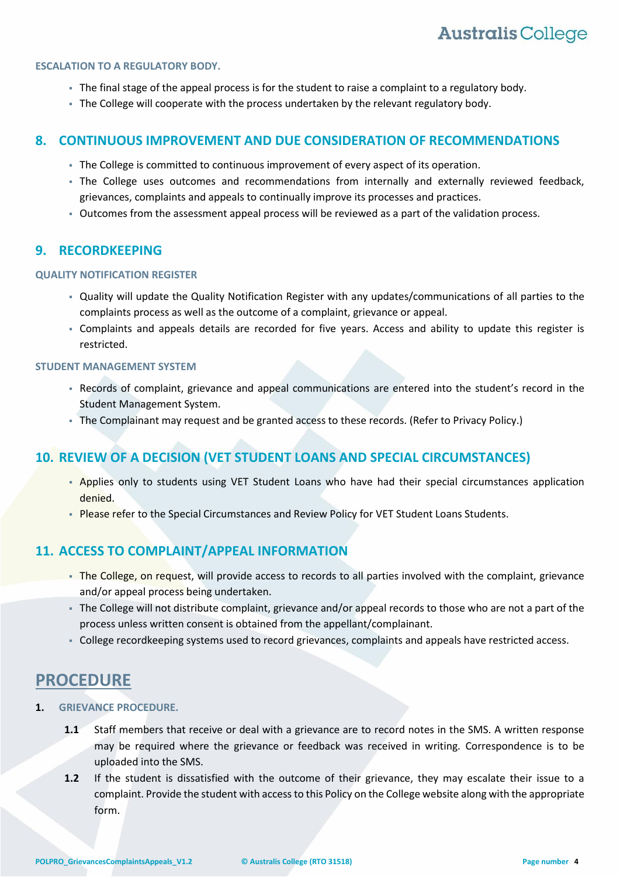#### **ESCALATION TO A REGULATORY BODY.**

- The final stage of the appeal process is for the student to raise a complaint to a regulatory body.
- The College will cooperate with the process undertaken by the relevant regulatory body.

## **8. CONTINUOUS IMPROVEMENT AND DUE CONSIDERATION OF RECOMMENDATIONS**

- The College is committed to continuous improvement of every aspect of its operation.
- The College uses outcomes and recommendations from internally and externally reviewed feedback, grievances, complaints and appeals to continually improve its processes and practices.
- Outcomes from the assessment appeal process will be reviewed as a part of the validation process.

## **9. RECORDKEEPING**

#### **QUALITY NOTIFICATION REGISTER**

- Quality will update the Quality Notification Register with any updates/communications of all parties to the complaints process as well as the outcome of a complaint, grievance or appeal.
- Complaints and appeals details are recorded for five years. Access and ability to update this register is restricted.

#### **STUDENT MANAGEMENT SYSTEM**

- Records of complaint, grievance and appeal communications are entered into the student's record in the Student Management System.
- The Complainant may request and be granted access to these records. (Refer to Privacy Policy.)

## <span id="page-3-0"></span>**10. REVIEW OF A DECISION (VET STUDENT LOANS AND SPECIAL CIRCUMSTANCES)**

- Applies only to students using VET Student Loans who have had their special circumstances application denied.
- **Please refer to the Special Circumstances and Review Policy for VET Student Loans Students.**

# **11. ACCESS TO COMPLAINT/APPEAL INFORMATION**

- The College, on request, will provide access to records to all parties involved with the complaint, grievance and/or appeal process being undertaken.
- The College will not distribute complaint, grievance and/or appeal records to those who are not a part of the process unless written consent is obtained from the appellant/complainant.
- College recordkeeping systems used to record grievances, complaints and appeals have restricted access.

# **PROCEDURE**

- **1. GRIEVANCE PROCEDURE.**
	- **1.1** Staff members that receive or deal with a grievance are to record notes in the SMS. A written response may be required where the grievance or feedback was received in writing. Correspondence is to be uploaded into the SMS.
	- **1.2** If the student is dissatisfied with the outcome of their grievance, they may escalate their issue to a complaint. Provide the student with access to this Policy on the College website along with the appropriate form.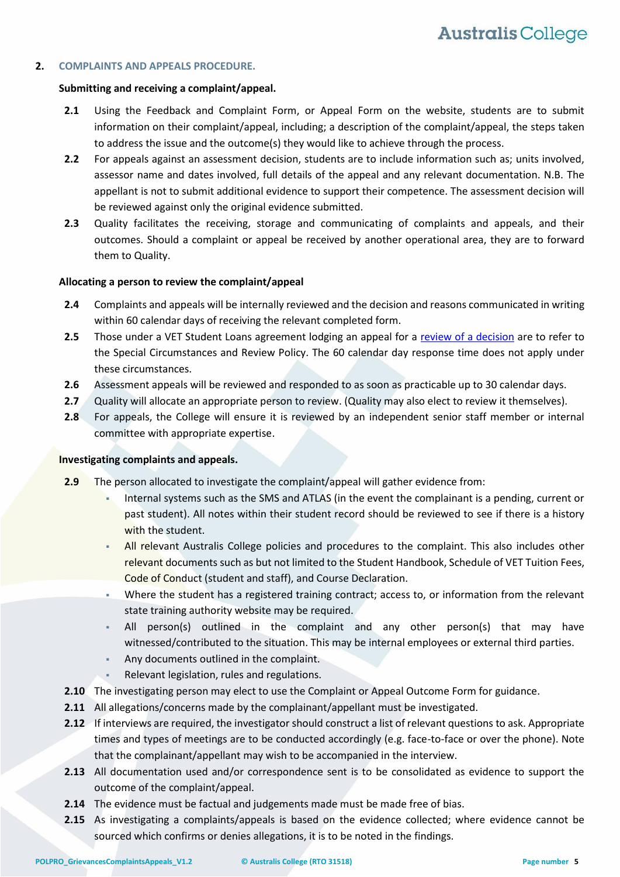#### **2. COMPLAINTS AND APPEALS PROCEDURE.**

#### **Submitting and receiving a complaint/appeal.**

- **2.1** Using the Feedback and Complaint Form, or Appeal Form on the website, students are to submit information on their complaint/appeal, including; a description of the complaint/appeal, the steps taken to address the issue and the outcome(s) they would like to achieve through the process.
- **2.2** For appeals against an assessment decision, students are to include information such as; units involved, assessor name and dates involved, full details of the appeal and any relevant documentation. N.B. The appellant is not to submit additional evidence to support their competence. The assessment decision will be reviewed against only the original evidence submitted.
- **2.3** Quality facilitates the receiving, storage and communicating of complaints and appeals, and their outcomes. Should a complaint or appeal be received by another operational area, they are to forward them to Quality.

#### **Allocating a person to review the complaint/appeal**

- **2.4** Complaints and appeals will be internally reviewed and the decision and reasons communicated in writing within 60 calendar days of receiving the relevant completed form.
- **2.5** Those under a VET Student Loans agreement lodging an appeal for a [review of a decision](#page-3-0) are to refer to the Special Circumstances and Review Policy. The 60 calendar day response time does not apply under these circumstances.
- **2.6** Assessment appeals will be reviewed and responded to as soon as practicable up to 30 calendar days.
- **2.7** Quality will allocate an appropriate person to review. (Quality may also elect to review it themselves).
- **2.8** For appeals, the College will ensure it is reviewed by an independent senior staff member or internal committee with appropriate expertise.

#### **Investigating complaints and appeals.**

- **2.9** The person allocated to investigate the complaint/appeal will gather evidence from:
	- Internal systems such as the SMS and ATLAS (in the event the complainant is a pending, current or past student). All notes within their student record should be reviewed to see if there is a history with the student.
	- All relevant Australis College policies and procedures to the complaint. This also includes other relevant documents such as but not limited to the Student Handbook, Schedule of VET Tuition Fees, Code of Conduct (student and staff), and Course Declaration.
	- Where the student has a registered training contract; access to, or information from the relevant state training authority website may be required.
	- All person(s) outlined in the complaint and any other person(s) that may have witnessed/contributed to the situation. This may be internal employees or external third parties.
	- Any documents outlined in the complaint.
	- Relevant legislation, rules and regulations.
- **2.10** The investigating person may elect to use the Complaint or Appeal Outcome Form for guidance.
- **2.11** All allegations/concerns made by the complainant/appellant must be investigated.
- **2.12** If interviews are required, the investigator should construct a list of relevant questions to ask. Appropriate times and types of meetings are to be conducted accordingly (e.g. face-to-face or over the phone). Note that the complainant/appellant may wish to be accompanied in the interview.
- **2.13** All documentation used and/or correspondence sent is to be consolidated as evidence to support the outcome of the complaint/appeal.
- **2.14** The evidence must be factual and judgements made must be made free of bias.
- **2.15** As investigating a complaints/appeals is based on the evidence collected; where evidence cannot be sourced which confirms or denies allegations, it is to be noted in the findings.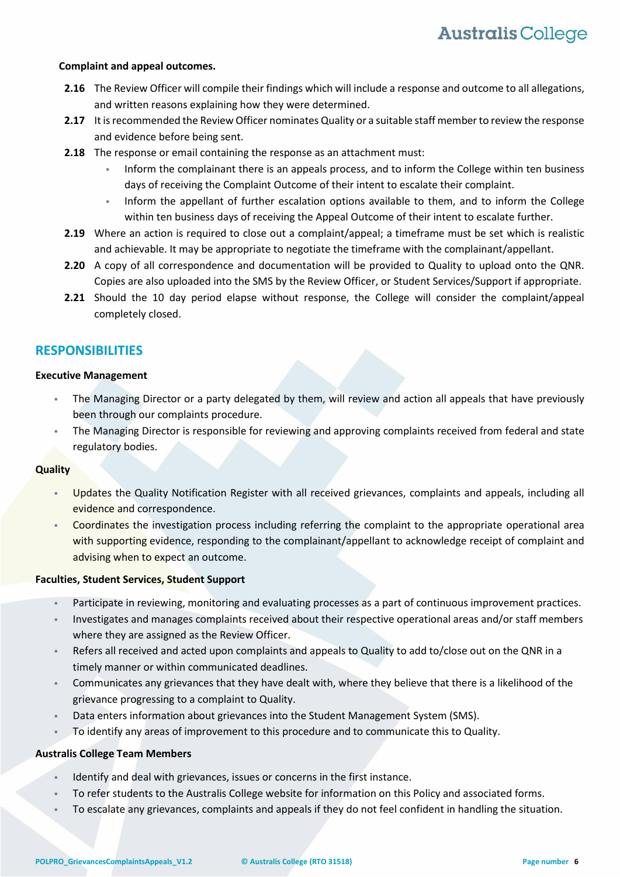#### **Complaint and appeal outcomes.**

- **2.16** The Review Officer will compile their findings which will include a response and outcome to all allegations, and written reasons explaining how they were determined.
- **2.17** It is recommended the Review Officer nominates Quality or a suitable staff member to review the response and evidence before being sent.
- **2.18** The response or email containing the response as an attachment must:
	- Inform the complainant there is an appeals process, and to inform the College within ten business days of receiving the Complaint Outcome of their intent to escalate their complaint.
	- Inform the appellant of further escalation options available to them, and to inform the College within ten business days of receiving the Appeal Outcome of their intent to escalate further.
- **2.19** Where an action is required to close out a complaint/appeal; a timeframe must be set which is realistic and achievable. It may be appropriate to negotiate the timeframe with the complainant/appellant.
- **2.20** A copy of all correspondence and documentation will be provided to Quality to upload onto the QNR. Copies are also uploaded into the SMS by the Review Officer, or Student Services/Support if appropriate.
- **2.21** Should the 10 day period elapse without response, the College will consider the complaint/appeal completely closed.

## **RESPONSIBILITIES**

#### **Executive Management**

- The Managing Director or a party delegated by them, will review and action all appeals that have previously been through our complaints procedure.
- The Managing Director is responsible for reviewing and approving complaints received from federal and state regulatory bodies.

#### **Quality**

- Updates the Quality Notification Register with all received grievances, complaints and appeals, including all evidence and correspondence.
- Coordinates the investigation process including referring the complaint to the appropriate operational area with supporting evidence, responding to the complainant/appellant to acknowledge receipt of complaint and advising when to expect an outcome.

#### **Faculties, Student Services, Student Support**

- Participate in reviewing, monitoring and evaluating processes as a part of continuous improvement practices.
- Investigates and manages complaints received about their respective operational areas and/or staff members where they are assigned as the Review Officer.
- Refers all received and acted upon complaints and appeals to Quality to add to/close out on the QNR in a timely manner or within communicated deadlines.
- Communicates any grievances that they have dealt with, where they believe that there is a likelihood of the grievance progressing to a complaint to Quality.
- Data enters information about grievances into the Student Management System (SMS).
- To identify any areas of improvement to this procedure and to communicate this to Quality.

#### **Australis College Team Members**

- Identify and deal with grievances, issues or concerns in the first instance.
- To refer students to the Australis College website for information on this Policy and associated forms.
- To escalate any grievances, complaints and appeals if they do not feel confident in handling the situation.